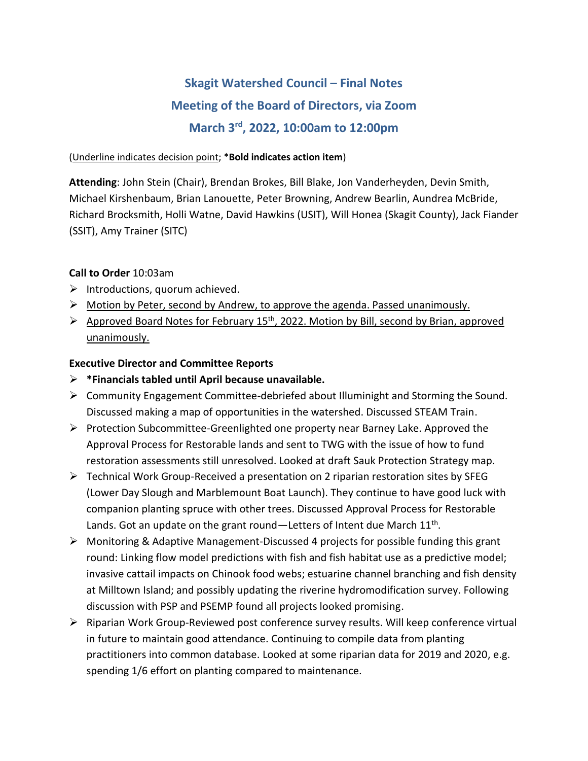# **Skagit Watershed Council – Final Notes Meeting of the Board of Directors, via Zoom March 3rd , 2022, 10:00am to 12:00pm**

#### (Underline indicates decision point; \***Bold indicates action item**)

**Attending**: John Stein (Chair), Brendan Brokes, Bill Blake, Jon Vanderheyden, Devin Smith, Michael Kirshenbaum, Brian Lanouette, Peter Browning, Andrew Bearlin, Aundrea McBride, Richard Brocksmith, Holli Watne, David Hawkins (USIT), Will Honea (Skagit County), Jack Fiander (SSIT), Amy Trainer (SITC)

#### **Call to Order** 10:03am

- $\triangleright$  Introductions, quorum achieved.
- $\triangleright$  Motion by Peter, second by Andrew, to approve the agenda. Passed unanimously.
- $\triangleright$  Approved Board Notes for February 15<sup>th</sup>, 2022. Motion by Bill, second by Brian, approved unanimously.

### **Executive Director and Committee Reports**

- ➢ **\*Financials tabled until April because unavailable.**
- ➢ Community Engagement Committee-debriefed about Illuminight and Storming the Sound. Discussed making a map of opportunities in the watershed. Discussed STEAM Train.
- ➢ Protection Subcommittee-Greenlighted one property near Barney Lake. Approved the Approval Process for Restorable lands and sent to TWG with the issue of how to fund restoration assessments still unresolved. Looked at draft Sauk Protection Strategy map.
- $\triangleright$  Technical Work Group-Received a presentation on 2 riparian restoration sites by SFEG (Lower Day Slough and Marblemount Boat Launch). They continue to have good luck with companion planting spruce with other trees. Discussed Approval Process for Restorable Lands. Got an update on the grant round—Letters of Intent due March  $11^{\text{th}}$ .
- $\triangleright$  Monitoring & Adaptive Management-Discussed 4 projects for possible funding this grant round: Linking flow model predictions with fish and fish habitat use as a predictive model; invasive cattail impacts on Chinook food webs; estuarine channel branching and fish density at Milltown Island; and possibly updating the riverine hydromodification survey. Following discussion with PSP and PSEMP found all projects looked promising.
- ➢ Riparian Work Group-Reviewed post conference survey results. Will keep conference virtual in future to maintain good attendance. Continuing to compile data from planting practitioners into common database. Looked at some riparian data for 2019 and 2020, e.g. spending 1/6 effort on planting compared to maintenance.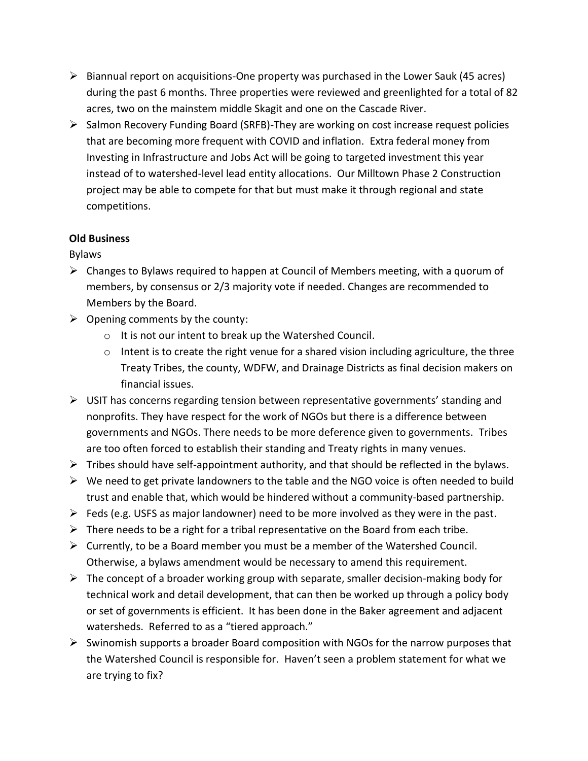- $\triangleright$  Biannual report on acquisitions-One property was purchased in the Lower Sauk (45 acres) during the past 6 months. Three properties were reviewed and greenlighted for a total of 82 acres, two on the mainstem middle Skagit and one on the Cascade River.
- $\triangleright$  Salmon Recovery Funding Board (SRFB)-They are working on cost increase request policies that are becoming more frequent with COVID and inflation. Extra federal money from Investing in Infrastructure and Jobs Act will be going to targeted investment this year instead of to watershed-level lead entity allocations. Our Milltown Phase 2 Construction project may be able to compete for that but must make it through regional and state competitions.

## **Old Business**

Bylaws

- $\triangleright$  Changes to Bylaws required to happen at Council of Members meeting, with a quorum of members, by consensus or 2/3 majority vote if needed. Changes are recommended to Members by the Board.
- $\triangleright$  Opening comments by the county:
	- o It is not our intent to break up the Watershed Council.
	- $\circ$  Intent is to create the right venue for a shared vision including agriculture, the three Treaty Tribes, the county, WDFW, and Drainage Districts as final decision makers on financial issues.
- $\triangleright$  USIT has concerns regarding tension between representative governments' standing and nonprofits. They have respect for the work of NGOs but there is a difference between governments and NGOs. There needs to be more deference given to governments. Tribes are too often forced to establish their standing and Treaty rights in many venues.
- $\triangleright$  Tribes should have self-appointment authority, and that should be reflected in the bylaws.
- $\triangleright$  We need to get private landowners to the table and the NGO voice is often needed to build trust and enable that, which would be hindered without a community-based partnership.
- $\triangleright$  Feds (e.g. USFS as major landowner) need to be more involved as they were in the past.
- $\triangleright$  There needs to be a right for a tribal representative on the Board from each tribe.
- $\triangleright$  Currently, to be a Board member you must be a member of the Watershed Council. Otherwise, a bylaws amendment would be necessary to amend this requirement.
- $\triangleright$  The concept of a broader working group with separate, smaller decision-making body for technical work and detail development, that can then be worked up through a policy body or set of governments is efficient. It has been done in the Baker agreement and adjacent watersheds. Referred to as a "tiered approach."
- $\triangleright$  Swinomish supports a broader Board composition with NGOs for the narrow purposes that the Watershed Council is responsible for. Haven't seen a problem statement for what we are trying to fix?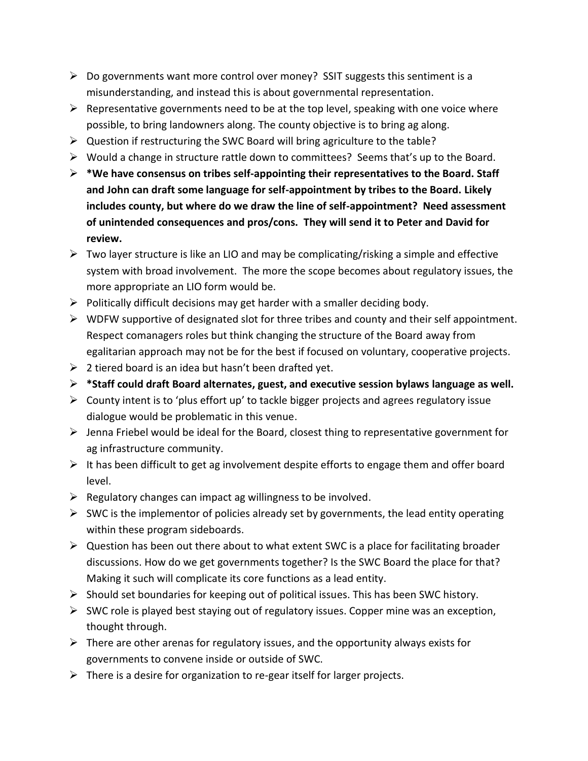- $\triangleright$  Do governments want more control over money? SSIT suggests this sentiment is a misunderstanding, and instead this is about governmental representation.
- $\triangleright$  Representative governments need to be at the top level, speaking with one voice where possible, to bring landowners along. The county objective is to bring ag along.
- ➢ Question if restructuring the SWC Board will bring agriculture to the table?
- ➢ Would a change in structure rattle down to committees? Seems that's up to the Board.
- ➢ **\*We have consensus on tribes self-appointing their representatives to the Board. Staff and John can draft some language for self-appointment by tribes to the Board. Likely includes county, but where do we draw the line of self-appointment? Need assessment of unintended consequences and pros/cons. They will send it to Peter and David for review.**
- $\triangleright$  Two layer structure is like an LIO and may be complicating/risking a simple and effective system with broad involvement. The more the scope becomes about regulatory issues, the more appropriate an LIO form would be.
- $\triangleright$  Politically difficult decisions may get harder with a smaller deciding body.
- ➢ WDFW supportive of designated slot for three tribes and county and their self appointment. Respect comanagers roles but think changing the structure of the Board away from egalitarian approach may not be for the best if focused on voluntary, cooperative projects.
- $\geq 2$  tiered board is an idea but hasn't been drafted yet.
- ➢ **\*Staff could draft Board alternates, guest, and executive session bylaws language as well.**
- $\triangleright$  County intent is to 'plus effort up' to tackle bigger projects and agrees regulatory issue dialogue would be problematic in this venue.
- $\triangleright$  Jenna Friebel would be ideal for the Board, closest thing to representative government for ag infrastructure community.
- $\triangleright$  It has been difficult to get ag involvement despite efforts to engage them and offer board level.
- $\triangleright$  Regulatory changes can impact ag willingness to be involved.
- $\triangleright$  SWC is the implementor of policies already set by governments, the lead entity operating within these program sideboards.
- $\triangleright$  Question has been out there about to what extent SWC is a place for facilitating broader discussions. How do we get governments together? Is the SWC Board the place for that? Making it such will complicate its core functions as a lead entity.
- ➢ Should set boundaries for keeping out of political issues. This has been SWC history.
- ➢ SWC role is played best staying out of regulatory issues. Copper mine was an exception, thought through.
- $\triangleright$  There are other arenas for regulatory issues, and the opportunity always exists for governments to convene inside or outside of SWC.
- $\triangleright$  There is a desire for organization to re-gear itself for larger projects.